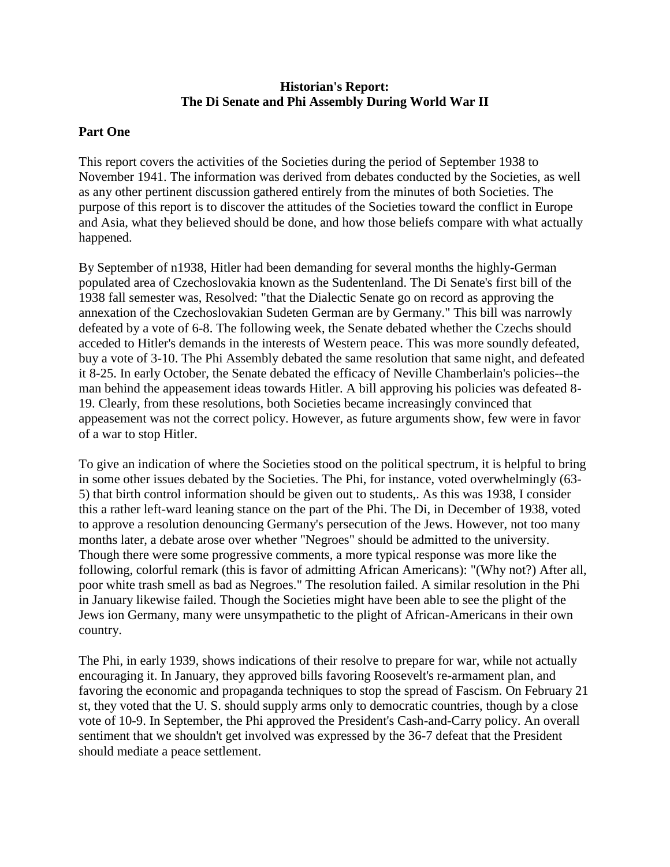## **Historian's Report: The Di Senate and Phi Assembly During World War II**

## **Part One**

This report covers the activities of the Societies during the period of September 1938 to November 1941. The information was derived from debates conducted by the Societies, as well as any other pertinent discussion gathered entirely from the minutes of both Societies. The purpose of this report is to discover the attitudes of the Societies toward the conflict in Europe and Asia, what they believed should be done, and how those beliefs compare with what actually happened.

By September of n1938, Hitler had been demanding for several months the highly-German populated area of Czechoslovakia known as the Sudentenland. The Di Senate's first bill of the 1938 fall semester was, Resolved: "that the Dialectic Senate go on record as approving the annexation of the Czechoslovakian Sudeten German are by Germany." This bill was narrowly defeated by a vote of 6-8. The following week, the Senate debated whether the Czechs should acceded to Hitler's demands in the interests of Western peace. This was more soundly defeated, buy a vote of 3-10. The Phi Assembly debated the same resolution that same night, and defeated it 8-25. In early October, the Senate debated the efficacy of Neville Chamberlain's policies--the man behind the appeasement ideas towards Hitler. A bill approving his policies was defeated 8- 19. Clearly, from these resolutions, both Societies became increasingly convinced that appeasement was not the correct policy. However, as future arguments show, few were in favor of a war to stop Hitler.

To give an indication of where the Societies stood on the political spectrum, it is helpful to bring in some other issues debated by the Societies. The Phi, for instance, voted overwhelmingly (63- 5) that birth control information should be given out to students,. As this was 1938, I consider this a rather left-ward leaning stance on the part of the Phi. The Di, in December of 1938, voted to approve a resolution denouncing Germany's persecution of the Jews. However, not too many months later, a debate arose over whether "Negroes" should be admitted to the university. Though there were some progressive comments, a more typical response was more like the following, colorful remark (this is favor of admitting African Americans): "(Why not?) After all, poor white trash smell as bad as Negroes." The resolution failed. A similar resolution in the Phi in January likewise failed. Though the Societies might have been able to see the plight of the Jews ion Germany, many were unsympathetic to the plight of African-Americans in their own country.

The Phi, in early 1939, shows indications of their resolve to prepare for war, while not actually encouraging it. In January, they approved bills favoring Roosevelt's re-armament plan, and favoring the economic and propaganda techniques to stop the spread of Fascism. On February 21 st, they voted that the U. S. should supply arms only to democratic countries, though by a close vote of 10-9. In September, the Phi approved the President's Cash-and-Carry policy. An overall sentiment that we shouldn't get involved was expressed by the 36-7 defeat that the President should mediate a peace settlement.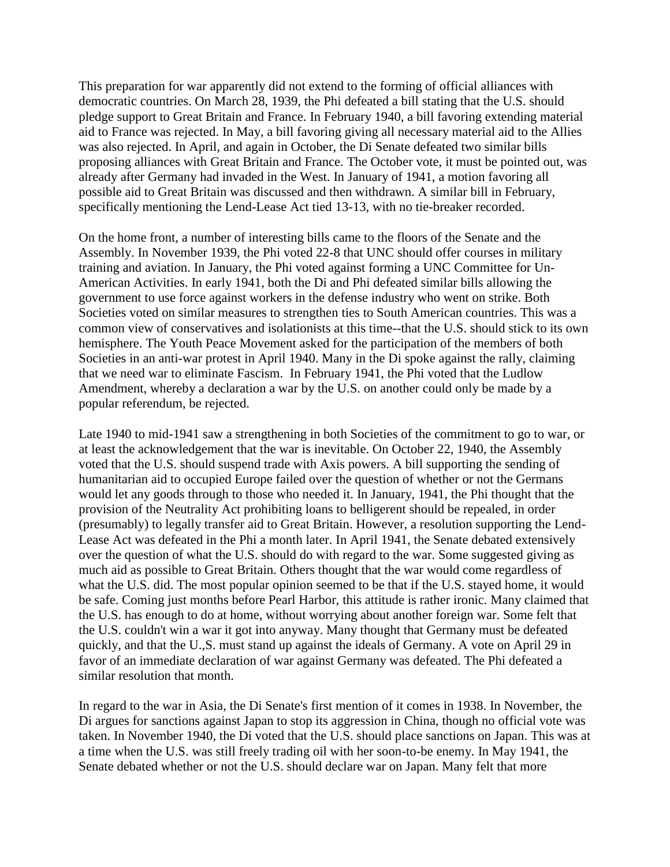This preparation for war apparently did not extend to the forming of official alliances with democratic countries. On March 28, 1939, the Phi defeated a bill stating that the U.S. should pledge support to Great Britain and France. In February 1940, a bill favoring extending material aid to France was rejected. In May, a bill favoring giving all necessary material aid to the Allies was also rejected. In April, and again in October, the Di Senate defeated two similar bills proposing alliances with Great Britain and France. The October vote, it must be pointed out, was already after Germany had invaded in the West. In January of 1941, a motion favoring all possible aid to Great Britain was discussed and then withdrawn. A similar bill in February, specifically mentioning the Lend-Lease Act tied 13-13, with no tie-breaker recorded.

On the home front, a number of interesting bills came to the floors of the Senate and the Assembly. In November 1939, the Phi voted 22-8 that UNC should offer courses in military training and aviation. In January, the Phi voted against forming a UNC Committee for Un-American Activities. In early 1941, both the Di and Phi defeated similar bills allowing the government to use force against workers in the defense industry who went on strike. Both Societies voted on similar measures to strengthen ties to South American countries. This was a common view of conservatives and isolationists at this time--that the U.S. should stick to its own hemisphere. The Youth Peace Movement asked for the participation of the members of both Societies in an anti-war protest in April 1940. Many in the Di spoke against the rally, claiming that we need war to eliminate Fascism. In February 1941, the Phi voted that the Ludlow Amendment, whereby a declaration a war by the U.S. on another could only be made by a popular referendum, be rejected.

Late 1940 to mid-1941 saw a strengthening in both Societies of the commitment to go to war, or at least the acknowledgement that the war is inevitable. On October 22, 1940, the Assembly voted that the U.S. should suspend trade with Axis powers. A bill supporting the sending of humanitarian aid to occupied Europe failed over the question of whether or not the Germans would let any goods through to those who needed it. In January, 1941, the Phi thought that the provision of the Neutrality Act prohibiting loans to belligerent should be repealed, in order (presumably) to legally transfer aid to Great Britain. However, a resolution supporting the Lend-Lease Act was defeated in the Phi a month later. In April 1941, the Senate debated extensively over the question of what the U.S. should do with regard to the war. Some suggested giving as much aid as possible to Great Britain. Others thought that the war would come regardless of what the U.S. did. The most popular opinion seemed to be that if the U.S. stayed home, it would be safe. Coming just months before Pearl Harbor, this attitude is rather ironic. Many claimed that the U.S. has enough to do at home, without worrying about another foreign war. Some felt that the U.S. couldn't win a war it got into anyway. Many thought that Germany must be defeated quickly, and that the U.,S. must stand up against the ideals of Germany. A vote on April 29 in favor of an immediate declaration of war against Germany was defeated. The Phi defeated a similar resolution that month.

In regard to the war in Asia, the Di Senate's first mention of it comes in 1938. In November, the Di argues for sanctions against Japan to stop its aggression in China, though no official vote was taken. In November 1940, the Di voted that the U.S. should place sanctions on Japan. This was at a time when the U.S. was still freely trading oil with her soon-to-be enemy. In May 1941, the Senate debated whether or not the U.S. should declare war on Japan. Many felt that more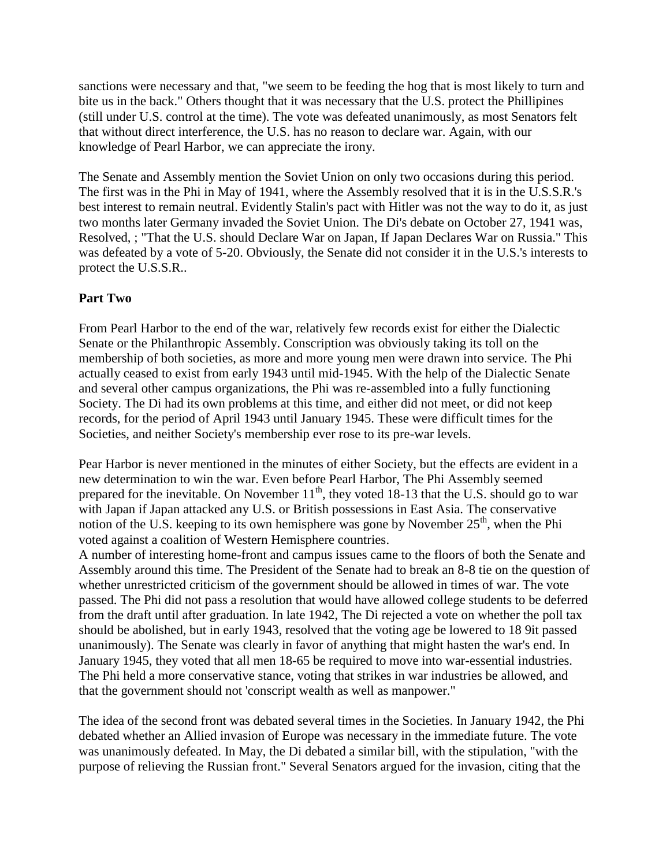sanctions were necessary and that, "we seem to be feeding the hog that is most likely to turn and bite us in the back." Others thought that it was necessary that the U.S. protect the Phillipines (still under U.S. control at the time). The vote was defeated unanimously, as most Senators felt that without direct interference, the U.S. has no reason to declare war. Again, with our knowledge of Pearl Harbor, we can appreciate the irony.

The Senate and Assembly mention the Soviet Union on only two occasions during this period. The first was in the Phi in May of 1941, where the Assembly resolved that it is in the U.S.S.R.'s best interest to remain neutral. Evidently Stalin's pact with Hitler was not the way to do it, as just two months later Germany invaded the Soviet Union. The Di's debate on October 27, 1941 was, Resolved, ; "That the U.S. should Declare War on Japan, If Japan Declares War on Russia." This was defeated by a vote of 5-20. Obviously, the Senate did not consider it in the U.S.'s interests to protect the U.S.S.R..

## **Part Two**

From Pearl Harbor to the end of the war, relatively few records exist for either the Dialectic Senate or the Philanthropic Assembly. Conscription was obviously taking its toll on the membership of both societies, as more and more young men were drawn into service. The Phi actually ceased to exist from early 1943 until mid-1945. With the help of the Dialectic Senate and several other campus organizations, the Phi was re-assembled into a fully functioning Society. The Di had its own problems at this time, and either did not meet, or did not keep records, for the period of April 1943 until January 1945. These were difficult times for the Societies, and neither Society's membership ever rose to its pre-war levels.

Pear Harbor is never mentioned in the minutes of either Society, but the effects are evident in a new determination to win the war. Even before Pearl Harbor, The Phi Assembly seemed prepared for the inevitable. On November  $11<sup>th</sup>$ , they voted 18-13 that the U.S. should go to war with Japan if Japan attacked any U.S. or British possessions in East Asia. The conservative notion of the U.S. keeping to its own hemisphere was gone by November  $25<sup>th</sup>$ , when the Phi voted against a coalition of Western Hemisphere countries.

A number of interesting home-front and campus issues came to the floors of both the Senate and Assembly around this time. The President of the Senate had to break an 8-8 tie on the question of whether unrestricted criticism of the government should be allowed in times of war. The vote passed. The Phi did not pass a resolution that would have allowed college students to be deferred from the draft until after graduation. In late 1942, The Di rejected a vote on whether the poll tax should be abolished, but in early 1943, resolved that the voting age be lowered to 18 9it passed unanimously). The Senate was clearly in favor of anything that might hasten the war's end. In January 1945, they voted that all men 18-65 be required to move into war-essential industries. The Phi held a more conservative stance, voting that strikes in war industries be allowed, and that the government should not 'conscript wealth as well as manpower."

The idea of the second front was debated several times in the Societies. In January 1942, the Phi debated whether an Allied invasion of Europe was necessary in the immediate future. The vote was unanimously defeated. In May, the Di debated a similar bill, with the stipulation, "with the purpose of relieving the Russian front." Several Senators argued for the invasion, citing that the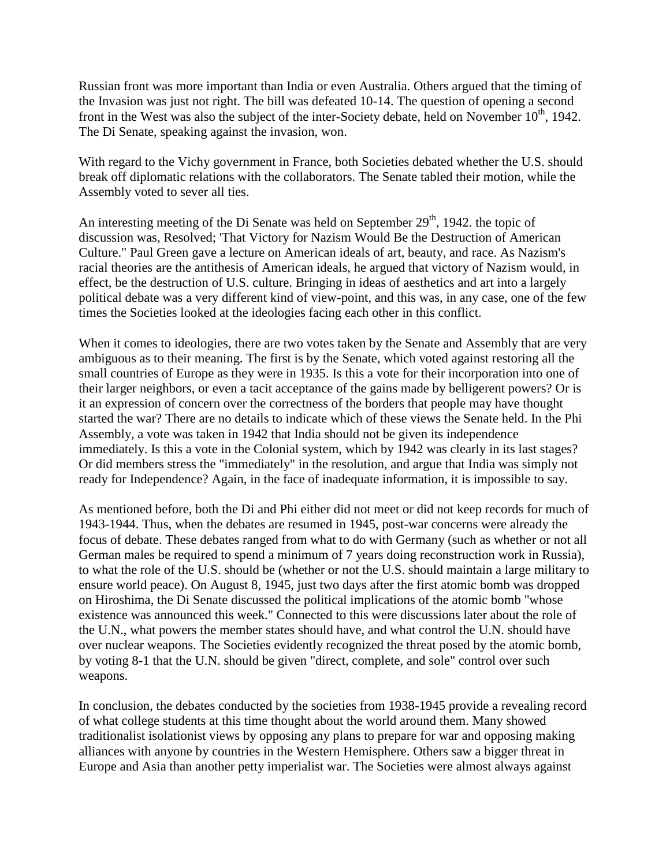Russian front was more important than India or even Australia. Others argued that the timing of the Invasion was just not right. The bill was defeated 10-14. The question of opening a second front in the West was also the subject of the inter-Society debate, held on November  $10<sup>th</sup>$ , 1942. The Di Senate, speaking against the invasion, won.

With regard to the Vichy government in France, both Societies debated whether the U.S. should break off diplomatic relations with the collaborators. The Senate tabled their motion, while the Assembly voted to sever all ties.

An interesting meeting of the Di Senate was held on September  $29<sup>th</sup>$ , 1942. the topic of discussion was, Resolved; 'That Victory for Nazism Would Be the Destruction of American Culture." Paul Green gave a lecture on American ideals of art, beauty, and race. As Nazism's racial theories are the antithesis of American ideals, he argued that victory of Nazism would, in effect, be the destruction of U.S. culture. Bringing in ideas of aesthetics and art into a largely political debate was a very different kind of view-point, and this was, in any case, one of the few times the Societies looked at the ideologies facing each other in this conflict.

When it comes to ideologies, there are two votes taken by the Senate and Assembly that are very ambiguous as to their meaning. The first is by the Senate, which voted against restoring all the small countries of Europe as they were in 1935. Is this a vote for their incorporation into one of their larger neighbors, or even a tacit acceptance of the gains made by belligerent powers? Or is it an expression of concern over the correctness of the borders that people may have thought started the war? There are no details to indicate which of these views the Senate held. In the Phi Assembly, a vote was taken in 1942 that India should not be given its independence immediately. Is this a vote in the Colonial system, which by 1942 was clearly in its last stages? Or did members stress the "immediately" in the resolution, and argue that India was simply not ready for Independence? Again, in the face of inadequate information, it is impossible to say.

As mentioned before, both the Di and Phi either did not meet or did not keep records for much of 1943-1944. Thus, when the debates are resumed in 1945, post-war concerns were already the focus of debate. These debates ranged from what to do with Germany (such as whether or not all German males be required to spend a minimum of 7 years doing reconstruction work in Russia), to what the role of the U.S. should be (whether or not the U.S. should maintain a large military to ensure world peace). On August 8, 1945, just two days after the first atomic bomb was dropped on Hiroshima, the Di Senate discussed the political implications of the atomic bomb "whose existence was announced this week." Connected to this were discussions later about the role of the U.N., what powers the member states should have, and what control the U.N. should have over nuclear weapons. The Societies evidently recognized the threat posed by the atomic bomb, by voting 8-1 that the U.N. should be given "direct, complete, and sole" control over such weapons.

In conclusion, the debates conducted by the societies from 1938-1945 provide a revealing record of what college students at this time thought about the world around them. Many showed traditionalist isolationist views by opposing any plans to prepare for war and opposing making alliances with anyone by countries in the Western Hemisphere. Others saw a bigger threat in Europe and Asia than another petty imperialist war. The Societies were almost always against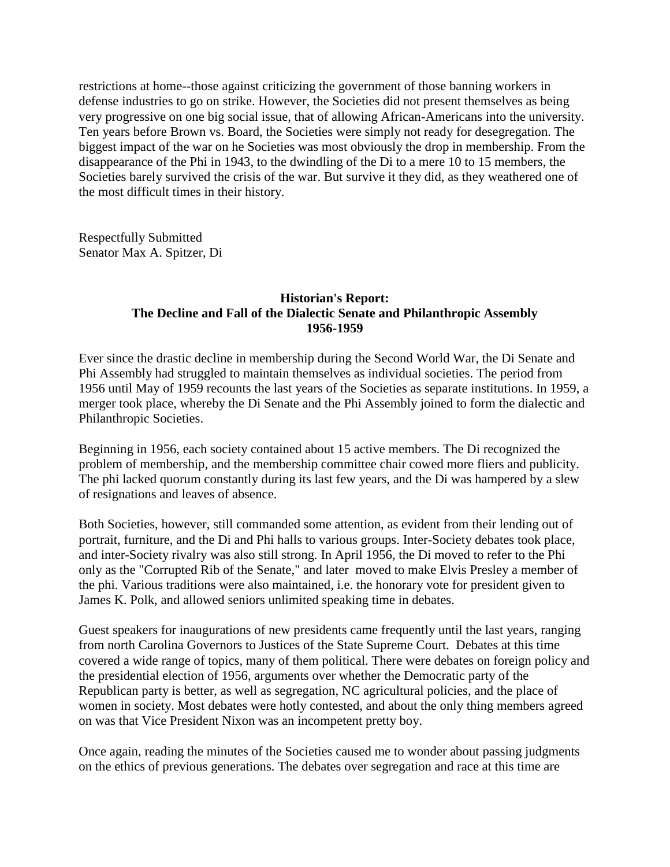restrictions at home--those against criticizing the government of those banning workers in defense industries to go on strike. However, the Societies did not present themselves as being very progressive on one big social issue, that of allowing African-Americans into the university. Ten years before Brown vs. Board, the Societies were simply not ready for desegregation. The biggest impact of the war on he Societies was most obviously the drop in membership. From the disappearance of the Phi in 1943, to the dwindling of the Di to a mere 10 to 15 members, the Societies barely survived the crisis of the war. But survive it they did, as they weathered one of the most difficult times in their history.

Respectfully Submitted Senator Max A. Spitzer, Di

## **Historian's Report: The Decline and Fall of the Dialectic Senate and Philanthropic Assembly 1956-1959**

Ever since the drastic decline in membership during the Second World War, the Di Senate and Phi Assembly had struggled to maintain themselves as individual societies. The period from 1956 until May of 1959 recounts the last years of the Societies as separate institutions. In 1959, a merger took place, whereby the Di Senate and the Phi Assembly joined to form the dialectic and Philanthropic Societies.

Beginning in 1956, each society contained about 15 active members. The Di recognized the problem of membership, and the membership committee chair cowed more fliers and publicity. The phi lacked quorum constantly during its last few years, and the Di was hampered by a slew of resignations and leaves of absence.

Both Societies, however, still commanded some attention, as evident from their lending out of portrait, furniture, and the Di and Phi halls to various groups. Inter-Society debates took place, and inter-Society rivalry was also still strong. In April 1956, the Di moved to refer to the Phi only as the "Corrupted Rib of the Senate," and later moved to make Elvis Presley a member of the phi. Various traditions were also maintained, i.e. the honorary vote for president given to James K. Polk, and allowed seniors unlimited speaking time in debates.

Guest speakers for inaugurations of new presidents came frequently until the last years, ranging from north Carolina Governors to Justices of the State Supreme Court. Debates at this time covered a wide range of topics, many of them political. There were debates on foreign policy and the presidential election of 1956, arguments over whether the Democratic party of the Republican party is better, as well as segregation, NC agricultural policies, and the place of women in society. Most debates were hotly contested, and about the only thing members agreed on was that Vice President Nixon was an incompetent pretty boy.

Once again, reading the minutes of the Societies caused me to wonder about passing judgments on the ethics of previous generations. The debates over segregation and race at this time are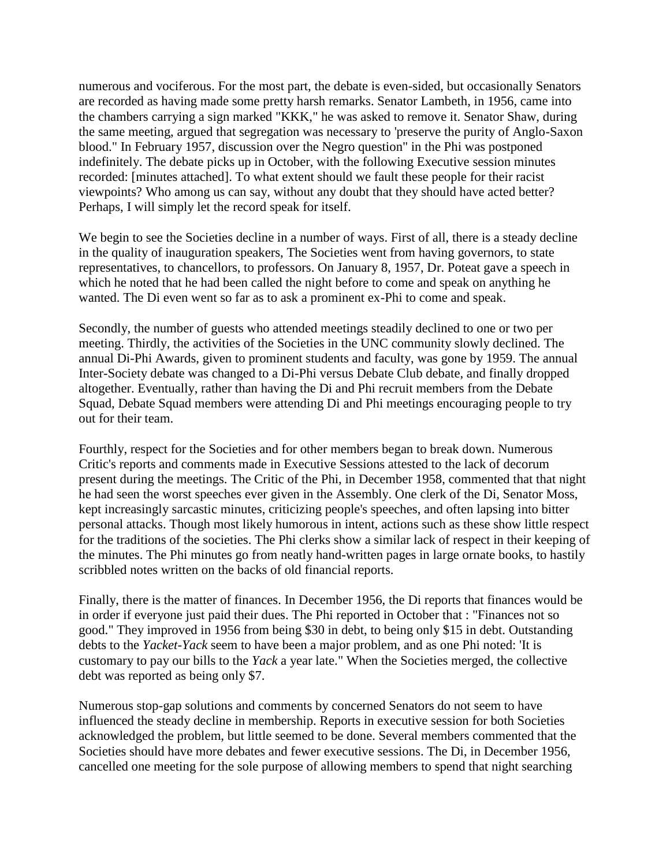numerous and vociferous. For the most part, the debate is even-sided, but occasionally Senators are recorded as having made some pretty harsh remarks. Senator Lambeth, in 1956, came into the chambers carrying a sign marked "KKK," he was asked to remove it. Senator Shaw, during the same meeting, argued that segregation was necessary to 'preserve the purity of Anglo-Saxon blood." In February 1957, discussion over the Negro question" in the Phi was postponed indefinitely. The debate picks up in October, with the following Executive session minutes recorded: [minutes attached]. To what extent should we fault these people for their racist viewpoints? Who among us can say, without any doubt that they should have acted better? Perhaps, I will simply let the record speak for itself.

We begin to see the Societies decline in a number of ways. First of all, there is a steady decline in the quality of inauguration speakers, The Societies went from having governors, to state representatives, to chancellors, to professors. On January 8, 1957, Dr. Poteat gave a speech in which he noted that he had been called the night before to come and speak on anything he wanted. The Di even went so far as to ask a prominent ex-Phi to come and speak.

Secondly, the number of guests who attended meetings steadily declined to one or two per meeting. Thirdly, the activities of the Societies in the UNC community slowly declined. The annual Di-Phi Awards, given to prominent students and faculty, was gone by 1959. The annual Inter-Society debate was changed to a Di-Phi versus Debate Club debate, and finally dropped altogether. Eventually, rather than having the Di and Phi recruit members from the Debate Squad, Debate Squad members were attending Di and Phi meetings encouraging people to try out for their team.

Fourthly, respect for the Societies and for other members began to break down. Numerous Critic's reports and comments made in Executive Sessions attested to the lack of decorum present during the meetings. The Critic of the Phi, in December 1958, commented that that night he had seen the worst speeches ever given in the Assembly. One clerk of the Di, Senator Moss, kept increasingly sarcastic minutes, criticizing people's speeches, and often lapsing into bitter personal attacks. Though most likely humorous in intent, actions such as these show little respect for the traditions of the societies. The Phi clerks show a similar lack of respect in their keeping of the minutes. The Phi minutes go from neatly hand-written pages in large ornate books, to hastily scribbled notes written on the backs of old financial reports.

Finally, there is the matter of finances. In December 1956, the Di reports that finances would be in order if everyone just paid their dues. The Phi reported in October that : "Finances not so good." They improved in 1956 from being \$30 in debt, to being only \$15 in debt. Outstanding debts to the *Yacket-Yack* seem to have been a major problem, and as one Phi noted: 'It is customary to pay our bills to the *Yack* a year late." When the Societies merged, the collective debt was reported as being only \$7.

Numerous stop-gap solutions and comments by concerned Senators do not seem to have influenced the steady decline in membership. Reports in executive session for both Societies acknowledged the problem, but little seemed to be done. Several members commented that the Societies should have more debates and fewer executive sessions. The Di, in December 1956, cancelled one meeting for the sole purpose of allowing members to spend that night searching